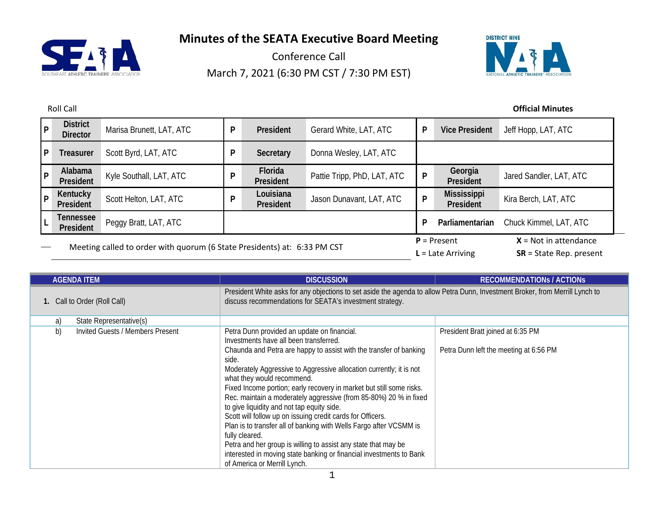

Conference Call March 7, 2021 (6:30 PM CST / 7:30 PM EST)



| p            | <b>District</b><br><b>Director</b>                                       | Marisa Brunett, LAT, ATC | P | President              | Gerard White, LAT, ATC      |                                      | <b>Vice President</b>                                | Jeff Hopp, LAT, ATC     |
|--------------|--------------------------------------------------------------------------|--------------------------|---|------------------------|-----------------------------|--------------------------------------|------------------------------------------------------|-------------------------|
| $\mathsf{P}$ | <b>Treasurer</b>                                                         | Scott Byrd, LAT, ATC     | D | Secretary              | Donna Wesley, LAT, ATC      |                                      |                                                      |                         |
| l P          | Alabama<br>President                                                     | Kyle Southall, LAT, ATC  |   | Florida<br>President   | Pattie Tripp, PhD, LAT, ATC | P                                    | Georgia<br>President                                 | Jared Sandler, LAT, ATC |
| P            | Kentucky<br>President                                                    | Scott Helton, LAT, ATC   |   | Louisiana<br>President | Jason Dunavant, LAT, ATC    | P                                    | Mississippi<br>President                             | Kira Berch, LAT, ATC    |
|              | Tennessee<br>President                                                   | Peggy Bratt, LAT, ATC    |   |                        |                             |                                      | Parliamentarian                                      | Chuck Kimmel, LAT, ATC  |
|              | Meeting called to order with quorum (6 State Presidents) at: 6:33 PM CST |                          |   |                        |                             | $P =$ Present<br>$L =$ Late Arriving | $X = Not in attendance$<br>$SR = State Rep. present$ |                         |

| <b>AGENDA ITEM</b>                     | <b>DISCUSSION</b>                                                                                                                                                                                                                                                                                                                                                                                                                                                                                                                                                                                                                                                                                          | <b>RECOMMENDATIONS / ACTIONS</b>       |  |
|----------------------------------------|------------------------------------------------------------------------------------------------------------------------------------------------------------------------------------------------------------------------------------------------------------------------------------------------------------------------------------------------------------------------------------------------------------------------------------------------------------------------------------------------------------------------------------------------------------------------------------------------------------------------------------------------------------------------------------------------------------|----------------------------------------|--|
| 1. Call to Order (Roll Call)           | President White asks for any objections to set aside the agenda to allow Petra Dunn, Investment Broker, from Merrill Lynch to<br>discuss recommendations for SEATA's investment strategy.                                                                                                                                                                                                                                                                                                                                                                                                                                                                                                                  |                                        |  |
| a)<br>State Representative(s)          |                                                                                                                                                                                                                                                                                                                                                                                                                                                                                                                                                                                                                                                                                                            |                                        |  |
| b)<br>Invited Guests / Members Present | Petra Dunn provided an update on financial.<br>Investments have all been transferred.                                                                                                                                                                                                                                                                                                                                                                                                                                                                                                                                                                                                                      | President Bratt joined at 6:35 PM      |  |
|                                        | Chaunda and Petra are happy to assist with the transfer of banking<br>side.<br>Moderately Aggressive to Aggressive allocation currently; it is not<br>what they would recommend.<br>Fixed Income portion; early recovery in market but still some risks.<br>Rec. maintain a moderately aggressive (from 85-80%) 20 % in fixed<br>to give liquidity and not tap equity side.<br>Scott will follow up on issuing credit cards for Officers.<br>Plan is to transfer all of banking with Wells Fargo after VCSMM is<br>fully cleared.<br>Petra and her group is willing to assist any state that may be<br>interested in moving state banking or financial investments to Bank<br>of America or Merrill Lynch. | Petra Dunn left the meeting at 6:56 PM |  |

#### Roll Call **Official Minutes**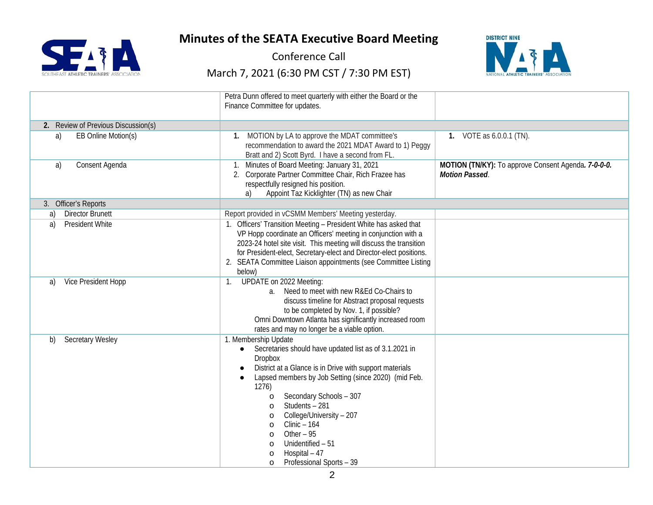

Conference Call



|                                     | Petra Dunn offered to meet quarterly with either the Board or the<br>Finance Committee for updates.                                                                                                                                                                                                                                                                                                                                                                                                           |                                                                              |
|-------------------------------------|---------------------------------------------------------------------------------------------------------------------------------------------------------------------------------------------------------------------------------------------------------------------------------------------------------------------------------------------------------------------------------------------------------------------------------------------------------------------------------------------------------------|------------------------------------------------------------------------------|
| 2. Review of Previous Discussion(s) |                                                                                                                                                                                                                                                                                                                                                                                                                                                                                                               |                                                                              |
| EB Online Motion(s)<br>a)           | 1. MOTION by LA to approve the MDAT committee's<br>recommendation to award the 2021 MDAT Award to 1) Peggy<br>Bratt and 2) Scott Byrd. I have a second from FL.                                                                                                                                                                                                                                                                                                                                               | 1. VOTE as 6.0.0.1 (TN).                                                     |
| Consent Agenda<br>a)                | 1. Minutes of Board Meeting: January 31, 2021<br>2. Corporate Partner Committee Chair, Rich Frazee has<br>respectfully resigned his position.<br>Appoint Taz Kicklighter (TN) as new Chair<br>a)                                                                                                                                                                                                                                                                                                              | MOTION (TN/KY): To approve Consent Agenda. 7-0-0-0.<br><b>Motion Passed.</b> |
| 3. Officer's Reports                |                                                                                                                                                                                                                                                                                                                                                                                                                                                                                                               |                                                                              |
| <b>Director Brunett</b><br>a)       | Report provided in vCSMM Members' Meeting yesterday.                                                                                                                                                                                                                                                                                                                                                                                                                                                          |                                                                              |
| <b>President White</b><br>a)        | 1. Officers' Transition Meeting - President White has asked that<br>VP Hopp coordinate an Officers' meeting in conjunction with a<br>2023-24 hotel site visit. This meeting will discuss the transition<br>for President-elect, Secretary-elect and Director-elect positions.<br>SEATA Committee Liaison appointments (see Committee Listing<br>below)                                                                                                                                                        |                                                                              |
| Vice President Hopp<br>a)           | UPDATE on 2022 Meeting:<br>Need to meet with new R&Ed Co-Chairs to<br>$a_{-}$<br>discuss timeline for Abstract proposal requests<br>to be completed by Nov. 1, if possible?<br>Omni Downtown Atlanta has significantly increased room<br>rates and may no longer be a viable option.                                                                                                                                                                                                                          |                                                                              |
| <b>Secretary Wesley</b><br>b)       | 1. Membership Update<br>Secretaries should have updated list as of 3.1.2021 in<br>$\bullet$<br><b>Dropbox</b><br>District at a Glance is in Drive with support materials<br>Lapsed members by Job Setting (since 2020) (mid Feb.<br>1276)<br>Secondary Schools - 307<br>$\circ$<br>Students - 281<br>$\circ$<br>College/University - 207<br>$\circ$<br>$Clinic - 164$<br>$\circ$<br>Other $-95$<br>$\circ$<br>Unidentified - 51<br>$\circ$<br>Hospital - 47<br>$\circ$<br>Professional Sports - 39<br>$\circ$ |                                                                              |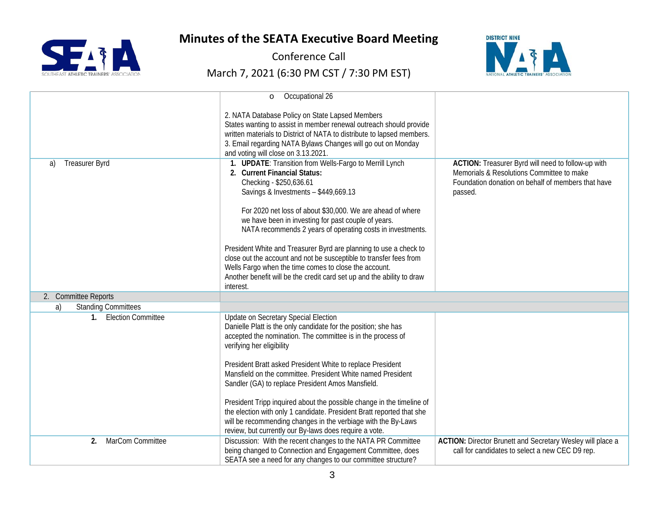



Conference Call



|                                          | Occupational 26<br>$\circ$                                                                                                                                                                                                                                                                                                                                                                                                                                                                                                                                                                                                               |                                                                                                                                                                  |
|------------------------------------------|------------------------------------------------------------------------------------------------------------------------------------------------------------------------------------------------------------------------------------------------------------------------------------------------------------------------------------------------------------------------------------------------------------------------------------------------------------------------------------------------------------------------------------------------------------------------------------------------------------------------------------------|------------------------------------------------------------------------------------------------------------------------------------------------------------------|
|                                          | 2. NATA Database Policy on State Lapsed Members<br>States wanting to assist in member renewal outreach should provide<br>written materials to District of NATA to distribute to lapsed members.<br>3. Email regarding NATA Bylaws Changes will go out on Monday<br>and voting will close on 3.13.2021.                                                                                                                                                                                                                                                                                                                                   |                                                                                                                                                                  |
| Treasurer Byrd<br>a)                     | 1. UPDATE: Transition from Wells-Fargo to Merrill Lynch<br>2. Current Financial Status:<br>Checking - \$250,636.61<br>Savings & Investments - \$449,669.13<br>For 2020 net loss of about \$30,000. We are ahead of where<br>we have been in investing for past couple of years.<br>NATA recommends 2 years of operating costs in investments.<br>President White and Treasurer Byrd are planning to use a check to<br>close out the account and not be susceptible to transfer fees from<br>Wells Fargo when the time comes to close the account.<br>Another benefit will be the credit card set up and the ability to draw<br>interest. | ACTION: Treasurer Byrd will need to follow-up with<br>Memorials & Resolutions Committee to make<br>Foundation donation on behalf of members that have<br>passed. |
| 2. Committee Reports                     |                                                                                                                                                                                                                                                                                                                                                                                                                                                                                                                                                                                                                                          |                                                                                                                                                                  |
| <b>Standing Committees</b><br>a)         |                                                                                                                                                                                                                                                                                                                                                                                                                                                                                                                                                                                                                                          |                                                                                                                                                                  |
| <b>Election Committee</b><br>$1_{\cdot}$ | Update on Secretary Special Election<br>Danielle Platt is the only candidate for the position; she has<br>accepted the nomination. The committee is in the process of<br>verifying her eligibility<br>President Bratt asked President White to replace President<br>Mansfield on the committee. President White named President<br>Sandler (GA) to replace President Amos Mansfield.<br>President Tripp inquired about the possible change in the timeline of<br>the election with only 1 candidate. President Bratt reported that she<br>will be recommending changes in the verbiage with the By-Laws                                  |                                                                                                                                                                  |
|                                          | review, but currently our By-laws does require a vote.                                                                                                                                                                                                                                                                                                                                                                                                                                                                                                                                                                                   |                                                                                                                                                                  |
| MarCom Committee<br>2.                   | Discussion: With the recent changes to the NATA PR Committee<br>being changed to Connection and Engagement Committee, does<br>SEATA see a need for any changes to our committee structure?                                                                                                                                                                                                                                                                                                                                                                                                                                               | ACTION: Director Brunett and Secretary Wesley will place a<br>call for candidates to select a new CEC D9 rep.                                                    |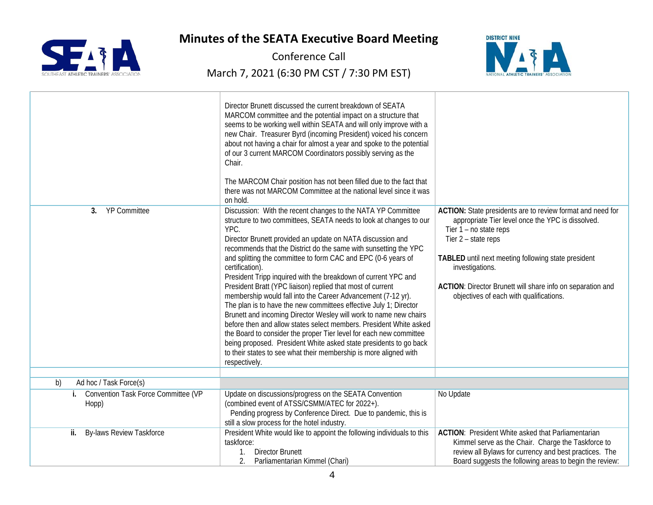

Conference Call



|                                                    | Director Brunett discussed the current breakdown of SEATA<br>MARCOM committee and the potential impact on a structure that<br>seems to be working well within SEATA and will only improve with a<br>new Chair. Treasurer Byrd (incoming President) voiced his concern<br>about not having a chair for almost a year and spoke to the potential<br>of our 3 current MARCOM Coordinators possibly serving as the<br>Chair.<br>The MARCOM Chair position has not been filled due to the fact that<br>there was not MARCOM Committee at the national level since it was<br>on hold.                                                                                                                                                                                                                                                                                                                                                                                                                                   |                                                                                                                                                                                                                                                                                                                                                     |
|----------------------------------------------------|-------------------------------------------------------------------------------------------------------------------------------------------------------------------------------------------------------------------------------------------------------------------------------------------------------------------------------------------------------------------------------------------------------------------------------------------------------------------------------------------------------------------------------------------------------------------------------------------------------------------------------------------------------------------------------------------------------------------------------------------------------------------------------------------------------------------------------------------------------------------------------------------------------------------------------------------------------------------------------------------------------------------|-----------------------------------------------------------------------------------------------------------------------------------------------------------------------------------------------------------------------------------------------------------------------------------------------------------------------------------------------------|
| <b>YP Committee</b><br>3 <sub>1</sub>              | Discussion: With the recent changes to the NATA YP Committee<br>structure to two committees, SEATA needs to look at changes to our<br>YPC.<br>Director Brunett provided an update on NATA discussion and<br>recommends that the District do the same with sunsetting the YPC<br>and splitting the committee to form CAC and EPC (0-6 years of<br>certification).<br>President Tripp inquired with the breakdown of current YPC and<br>President Bratt (YPC liaison) replied that most of current<br>membership would fall into the Career Advancement (7-12 yr).<br>The plan is to have the new committees effective July 1; Director<br>Brunett and incoming Director Wesley will work to name new chairs<br>before then and allow states select members. President White asked<br>the Board to consider the proper Tier level for each new committee<br>being proposed. President White asked state presidents to go back<br>to their states to see what their membership is more aligned with<br>respectively. | ACTION: State presidents are to review format and need for<br>appropriate Tier level once the YPC is dissolved.<br>Tier 1 - no state reps<br>Tier 2 - state reps<br>TABLED until next meeting following state president<br>investigations.<br>ACTION: Director Brunett will share info on separation and<br>objectives of each with qualifications. |
| Ad hoc / Task Force(s)<br>b)                       |                                                                                                                                                                                                                                                                                                                                                                                                                                                                                                                                                                                                                                                                                                                                                                                                                                                                                                                                                                                                                   |                                                                                                                                                                                                                                                                                                                                                     |
|                                                    |                                                                                                                                                                                                                                                                                                                                                                                                                                                                                                                                                                                                                                                                                                                                                                                                                                                                                                                                                                                                                   |                                                                                                                                                                                                                                                                                                                                                     |
| Convention Task Force Committee (VP<br>i.<br>Hopp) | Update on discussions/progress on the SEATA Convention<br>(combined event of ATSS/CSMM/ATEC for 2022+).<br>Pending progress by Conference Direct. Due to pandemic, this is<br>still a slow process for the hotel industry.                                                                                                                                                                                                                                                                                                                                                                                                                                                                                                                                                                                                                                                                                                                                                                                        | No Update                                                                                                                                                                                                                                                                                                                                           |
| By-laws Review Taskforce<br>ii.                    | President White would like to appoint the following individuals to this<br>taskforce:<br>1. Director Brunett<br>2.<br>Parliamentarian Kimmel (Chari)                                                                                                                                                                                                                                                                                                                                                                                                                                                                                                                                                                                                                                                                                                                                                                                                                                                              | <b>ACTION:</b> President White asked that Parliamentarian<br>Kimmel serve as the Chair. Charge the Taskforce to<br>review all Bylaws for currency and best practices. The<br>Board suggests the following areas to begin the review:                                                                                                                |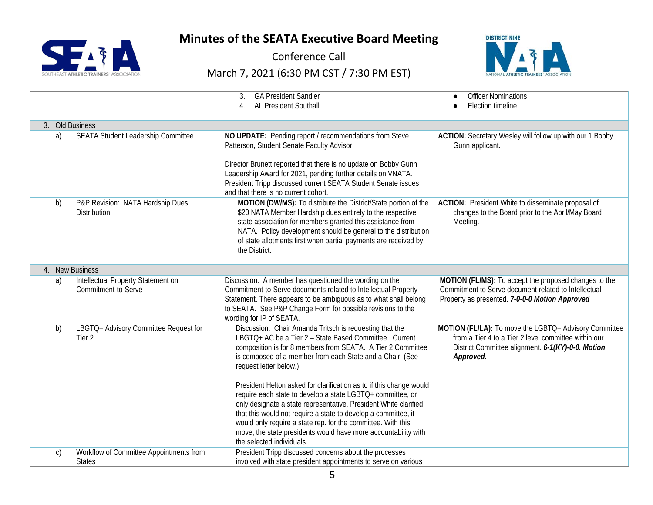



Conference Call



|                 |                                                            | <b>GA President Sandler</b><br>3.                                                                                                                                                                                                                                                                                                                                                                                                                                                                                                                                                                                                                                                                                 | <b>Officer Nominations</b>                                                                                                                                                      |
|-----------------|------------------------------------------------------------|-------------------------------------------------------------------------------------------------------------------------------------------------------------------------------------------------------------------------------------------------------------------------------------------------------------------------------------------------------------------------------------------------------------------------------------------------------------------------------------------------------------------------------------------------------------------------------------------------------------------------------------------------------------------------------------------------------------------|---------------------------------------------------------------------------------------------------------------------------------------------------------------------------------|
|                 |                                                            | AL President Southall                                                                                                                                                                                                                                                                                                                                                                                                                                                                                                                                                                                                                                                                                             | <b>Election timeline</b>                                                                                                                                                        |
| 3. Old Business |                                                            |                                                                                                                                                                                                                                                                                                                                                                                                                                                                                                                                                                                                                                                                                                                   |                                                                                                                                                                                 |
| a)              | SEATA Student Leadership Committee                         | NO UPDATE: Pending report / recommendations from Steve<br>Patterson, Student Senate Faculty Advisor.<br>Director Brunett reported that there is no update on Bobby Gunn<br>Leadership Award for 2021, pending further details on VNATA.<br>President Tripp discussed current SEATA Student Senate issues<br>and that there is no current cohort.                                                                                                                                                                                                                                                                                                                                                                  | ACTION: Secretary Wesley will follow up with our 1 Bobby<br>Gunn applicant.                                                                                                     |
| b)              | P&P Revision: NATA Hardship Dues<br>Distribution           | MOTION (DW/MS): To distribute the District/State portion of the<br>\$20 NATA Member Hardship dues entirely to the respective<br>state association for members granted this assistance from<br>NATA. Policy development should be general to the distribution<br>of state allotments first when partial payments are received by<br>the District.                                                                                                                                                                                                                                                                                                                                                                  | ACTION: President White to disseminate proposal of<br>changes to the Board prior to the April/May Board<br>Meeting.                                                             |
|                 | 4. New Business                                            |                                                                                                                                                                                                                                                                                                                                                                                                                                                                                                                                                                                                                                                                                                                   |                                                                                                                                                                                 |
| a)              | Intellectual Property Statement on<br>Commitment-to-Serve  | Discussion: A member has questioned the wording on the<br>Commitment-to-Serve documents related to Intellectual Property<br>Statement. There appears to be ambiguous as to what shall belong<br>to SEATA. See P&P Change Form for possible revisions to the<br>wording for IP of SEATA.                                                                                                                                                                                                                                                                                                                                                                                                                           | MOTION (FL/MS): To accept the proposed changes to the<br>Commitment to Serve document related to Intellectual<br>Property as presented. 7-0-0-0 Motion Approved                 |
| b)              | LBGTQ+ Advisory Committee Request for<br>Tier <sub>2</sub> | Discussion: Chair Amanda Tritsch is requesting that the<br>LBGTQ+ AC be a Tier 2 - State Based Committee. Current<br>composition is for 8 members from SEATA. A Tier 2 Committee<br>is composed of a member from each State and a Chair. (See<br>request letter below.)<br>President Helton asked for clarification as to if this change would<br>require each state to develop a state LGBTQ+ committee, or<br>only designate a state representative. President White clarified<br>that this would not require a state to develop a committee, it<br>would only require a state rep. for the committee. With this<br>move, the state presidents would have more accountability with<br>the selected individuals. | MOTION (FL/LA): To move the LGBTQ+ Advisory Committee<br>from a Tier 4 to a Tier 2 level committee within our<br>District Committee alignment. 6-1(KY)-0-0. Motion<br>Approved. |
| C)              | Workflow of Committee Appointments from<br><b>States</b>   | President Tripp discussed concerns about the processes<br>involved with state president appointments to serve on various                                                                                                                                                                                                                                                                                                                                                                                                                                                                                                                                                                                          |                                                                                                                                                                                 |